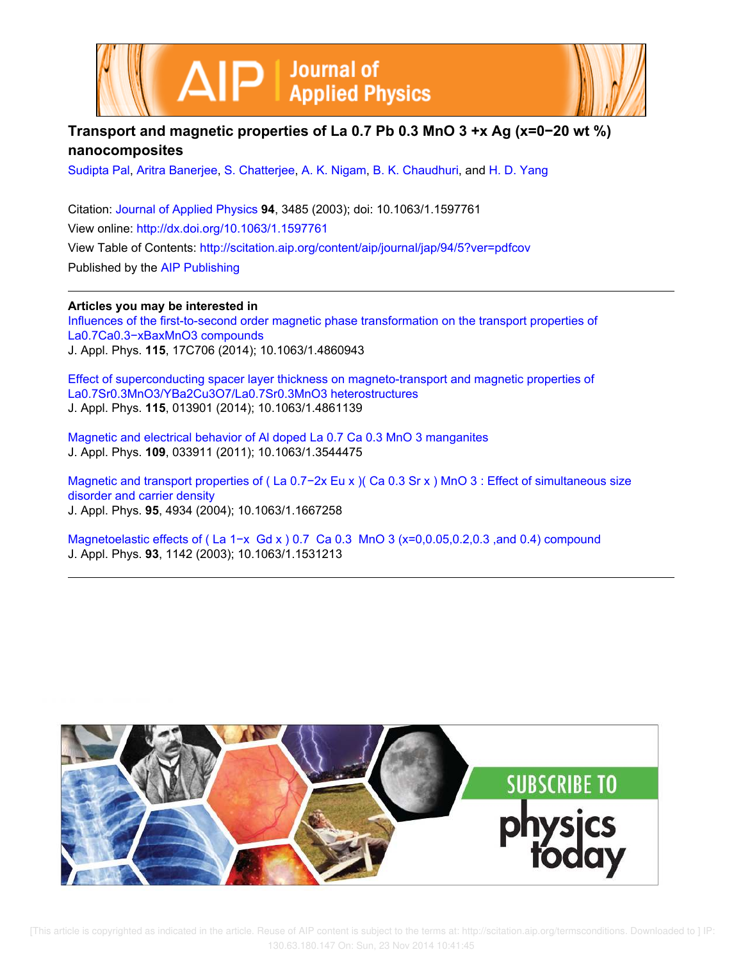



## **Transport and magnetic properties of La 0.7 Pb 0.3 MnO 3 +x Ag (x=0−20 wt %) nanocomposites**

Sudipta Pal, Aritra Banerjee, S. Chatterjee, A. K. Nigam, B. K. Chaudhuri, and H. D. Yang

Citation: Journal of Applied Physics **94**, 3485 (2003); doi: 10.1063/1.1597761 View online: http://dx.doi.org/10.1063/1.1597761 View Table of Contents: http://scitation.aip.org/content/aip/journal/jap/94/5?ver=pdfcov Published by the AIP Publishing

**Articles you may be interested in** Influences of the first-to-second order magnetic phase transformation on the transport properties of La0.7Ca0.3−xBaxMnO3 compounds J. Appl. Phys. **115**, 17C706 (2014); 10.1063/1.4860943

Effect of superconducting spacer layer thickness on magneto-transport and magnetic properties of La0.7Sr0.3MnO3/YBa2Cu3O7/La0.7Sr0.3MnO3 heterostructures J. Appl. Phys. **115**, 013901 (2014); 10.1063/1.4861139

Magnetic and electrical behavior of Al doped La 0.7 Ca 0.3 MnO 3 manganites J. Appl. Phys. **109**, 033911 (2011); 10.1063/1.3544475

Magnetic and transport properties of (La 0.7−2x Eu x )( Ca 0.3 Sr x ) MnO 3 : Effect of simultaneous size disorder and carrier density J. Appl. Phys. **95**, 4934 (2004); 10.1063/1.1667258

Magnetoelastic effects of (La 1-x Gd x ) 0.7 Ca 0.3 MnO 3 (x=0,0.05,0.2,0.3 ,and 0.4) compound J. Appl. Phys. **93**, 1142 (2003); 10.1063/1.1531213

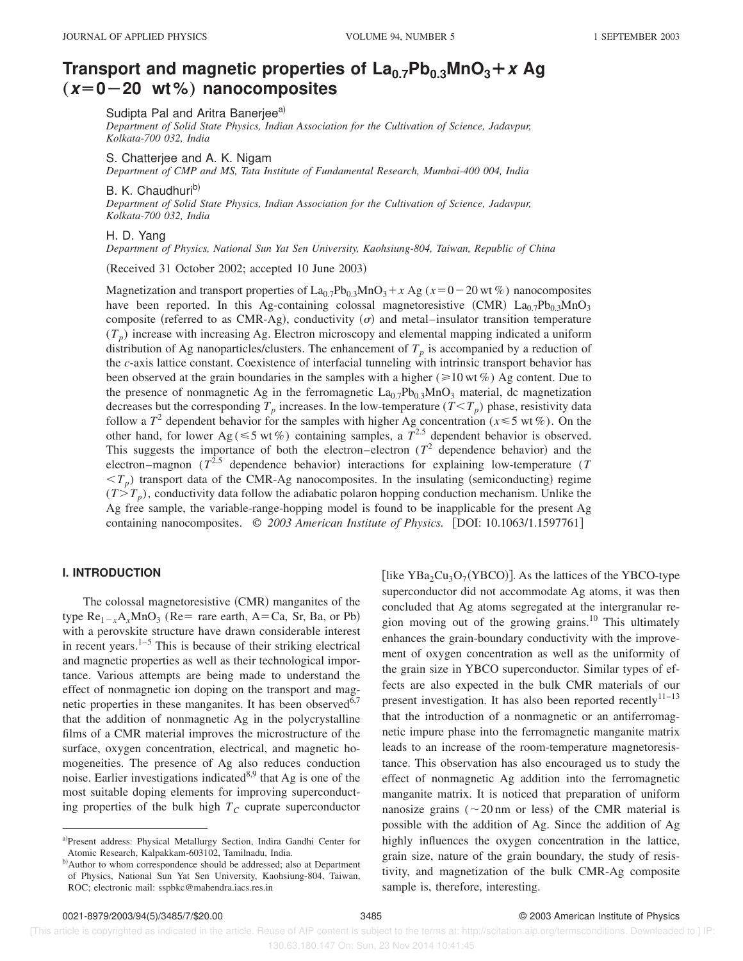# **Transport and magnetic properties of**  $\text{La}_{0.7}\text{Pb}_{0.3}\text{MnO}_3 + x \text{Ag}$  $(x=0-20 \text{ wt\%})$  nanocomposites

Sudipta Pal and Aritra Banerjee<sup>a)</sup>

*Department of Solid State Physics, Indian Association for the Cultivation of Science, Jadavpur, Kolkata-700 032, India*

S. Chatterjee and A. K. Nigam

*Department of CMP and MS, Tata Institute of Fundamental Research, Mumbai-400 004, India*

B. K. Chaudhuri<sup>b)</sup>

*Department of Solid State Physics, Indian Association for the Cultivation of Science, Jadavpur, Kolkata-700 032, India*

## H. D. Yang

*Department of Physics, National Sun Yat Sen University, Kaohsiung-804, Taiwan, Republic of China*

 $(Received 31 October 2002; accepted 10 June 2003)$ 

Magnetization and transport properties of  $\text{La}_{0.7}\text{Pb}_{0.3}\text{MnO}_3 + x \text{ Ag } (x=0-20 \text{ wt } \%)$  nanocomposites have been reported. In this Ag-containing colossal magnetoresistive (CMR)  $La<sub>0.7</sub>Pb<sub>0.3</sub>MnO<sub>3</sub>$ composite (referred to as CMR-Ag), conductivity  $(\sigma)$  and metal–insulator transition temperature  $(T_p)$  increase with increasing Ag. Electron microscopy and elemental mapping indicated a uniform distribution of Ag nanoparticles/clusters. The enhancement of  $T_p$  is accompanied by a reduction of the *c*-axis lattice constant. Coexistence of interfacial tunneling with intrinsic transport behavior has been observed at the grain boundaries in the samples with a higher ( $\geq 10$  wt %) Ag content. Due to the presence of nonmagnetic Ag in the ferromagnetic  $La_{0.7}Pb_{0.3}MnO_3$  material, dc magnetization decreases but the corresponding  $T_p$  increases. In the low-temperature  $(T < T_p)$  phase, resistivity data follow a  $T^2$  dependent behavior for the samples with higher Ag concentration ( $x \le 5$  wt %). On the other hand, for lower Ag( $\leq 5$  wt%) containing samples, a  $T^{2.5}$  dependent behavior is observed. This suggests the importance of both the electron–electron  $(T^2$  dependence behavior) and the electron–magnon  $(T^{2.5})$  dependence behavior) interactions for explaining low-temperature (*T*  $(T_p)$  transport data of the CMR-Ag nanocomposites. In the insulating (semiconducting) regime  $(T > T_p)$ , conductivity data follow the adiabatic polaron hopping conduction mechanism. Unlike the Ag free sample, the variable-range-hopping model is found to be inapplicable for the present Ag containing nanocomposites.  $\odot$  2003 American Institute of Physics. [DOI: 10.1063/1.1597761]

## **I. INTRODUCTION**

The colossal magnetoresistive  $(CMR)$  manganites of the type  $\text{Re}_{1-x}A_x \text{MnO}_3$  (Re= rare earth, A=Ca, Sr, Ba, or Pb) with a perovskite structure have drawn considerable interest in recent years. $1-5$  This is because of their striking electrical and magnetic properties as well as their technological importance. Various attempts are being made to understand the effect of nonmagnetic ion doping on the transport and magnetic properties in these manganites. It has been observed $6,7$ that the addition of nonmagnetic Ag in the polycrystalline films of a CMR material improves the microstructure of the surface, oxygen concentration, electrical, and magnetic homogeneities. The presence of Ag also reduces conduction noise. Earlier investigations indicated $8,9$  that Ag is one of the most suitable doping elements for improving superconducting properties of the bulk high  $T_C$  cuprate superconductor

[like  $YBa<sub>2</sub>Cu<sub>3</sub>O<sub>7</sub>(YBCO)$ ]. As the lattices of the YBCO-type superconductor did not accommodate Ag atoms, it was then concluded that Ag atoms segregated at the intergranular region moving out of the growing grains.<sup>10</sup> This ultimately enhances the grain-boundary conductivity with the improvement of oxygen concentration as well as the uniformity of the grain size in YBCO superconductor. Similar types of effects are also expected in the bulk CMR materials of our present investigation. It has also been reported recently $11-13$ that the introduction of a nonmagnetic or an antiferromagnetic impure phase into the ferromagnetic manganite matrix leads to an increase of the room-temperature magnetoresistance. This observation has also encouraged us to study the effect of nonmagnetic Ag addition into the ferromagnetic manganite matrix. It is noticed that preparation of uniform nanosize grains ( $\sim$ 20 nm or less) of the CMR material is possible with the addition of Ag. Since the addition of Ag highly influences the oxygen concentration in the lattice, grain size, nature of the grain boundary, the study of resistivity, and magnetization of the bulk CMR-Ag composite sample is, therefore, interesting.

a)Present address: Physical Metallurgy Section, Indira Gandhi Center for Atomic Research, Kalpakkam-603102, Tamilnadu, India.

b) Author to whom correspondence should be addressed; also at Department of Physics, National Sun Yat Sen University, Kaohsiung-804, Taiwan, ROC; electronic mail: sspbkc@mahendra.iacs.res.in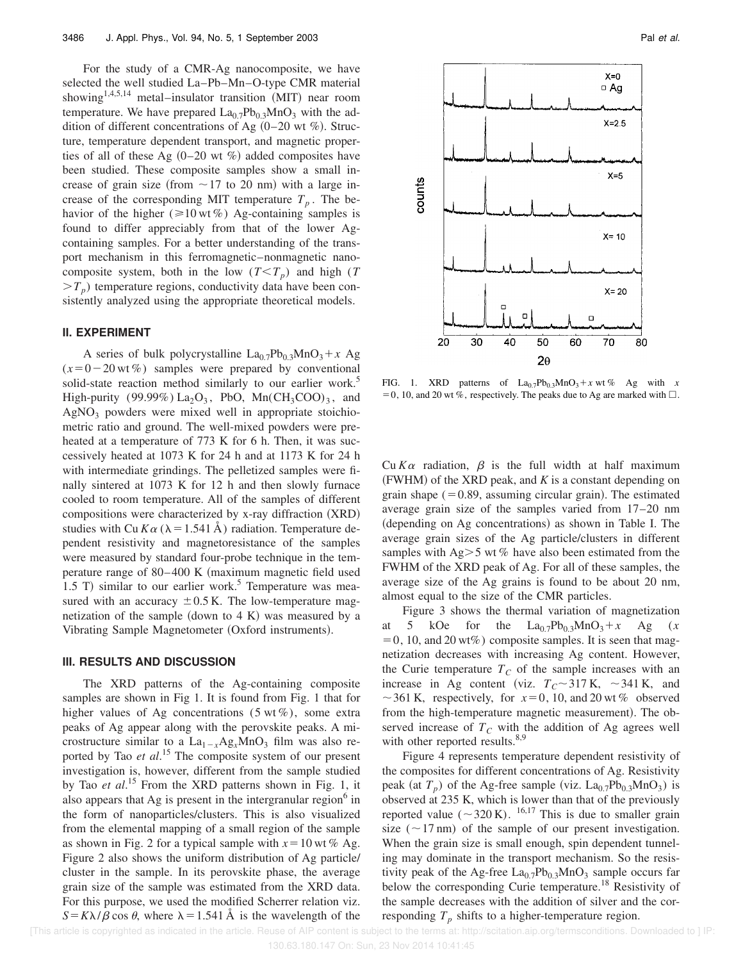For the study of a CMR-Ag nanocomposite, we have selected the well studied La–Pb–Mn–O-type CMR material showing<sup>1,4,5,14</sup> metal–insulator transition  $(MIT)$  near room temperature. We have prepared  $La<sub>0.7</sub>Pb<sub>0.3</sub>MnO<sub>3</sub>$  with the addition of different concentrations of Ag  $(0-20 \text{ wt } \%)$ . Structure, temperature dependent transport, and magnetic properties of all of these Ag  $(0-20 \text{ wt } \%)$  added composites have been studied. These composite samples show a small increase of grain size (from  $\sim$  17 to 20 nm) with a large increase of the corresponding MIT temperature  $T_p$ . The behavior of the higher ( $\geq 10$  wt %) Ag-containing samples is found to differ appreciably from that of the lower Agcontaining samples. For a better understanding of the transport mechanism in this ferromagnetic–nonmagnetic nanocomposite system, both in the low  $(T < T_p)$  and high (*T*  $>T_p$ ) temperature regions, conductivity data have been consistently analyzed using the appropriate theoretical models.

#### **II. EXPERIMENT**

A series of bulk polycrystalline  $La_{0.7}Pb_{0.3}MnO_3 + x Ag$  $(x=0-20 \text{ wt }\%)$  samples were prepared by conventional solid-state reaction method similarly to our earlier work.<sup>5</sup> High-purity (99.99%)  $La_2O_3$ , PbO,  $Mn(CH_3COO)_3$ , and  $AgNO<sub>3</sub>$  powders were mixed well in appropriate stoichiometric ratio and ground. The well-mixed powders were preheated at a temperature of 773 K for 6 h. Then, it was successively heated at 1073 K for 24 h and at 1173 K for 24 h with intermediate grindings. The pelletized samples were finally sintered at 1073 K for 12 h and then slowly furnace cooled to room temperature. All of the samples of different compositions were characterized by  $x$ -ray diffraction  $(XRD)$ studies with Cu  $K\alpha$  ( $\lambda$  = 1.541 Å) radiation. Temperature dependent resistivity and magnetoresistance of the samples were measured by standard four-probe technique in the temperature range of  $80-400$  K (maximum magnetic field used 1.5 T) similar to our earlier work.<sup>5</sup> Temperature was measured with an accuracy  $\pm 0.5$  K. The low-temperature magnetization of the sample (down to  $4 K$ ) was measured by a Vibrating Sample Magnetometer (Oxford instruments).

## **III. RESULTS AND DISCUSSION**

The XRD patterns of the Ag-containing composite samples are shown in Fig 1. It is found from Fig. 1 that for higher values of Ag concentrations  $(5 \text{ wt } \%)$ , some extra peaks of Ag appear along with the perovskite peaks. A microstructure similar to a  $La_{1-x}Ag_xMnO_3$  film was also reported by Tao *et al*. <sup>15</sup> The composite system of our present investigation is, however, different from the sample studied by Tao *et al*. <sup>15</sup> From the XRD patterns shown in Fig. 1, it also appears that Ag is present in the intergranular region $6$  in the form of nanoparticles/clusters. This is also visualized from the elemental mapping of a small region of the sample as shown in Fig. 2 for a typical sample with  $x=10$  wt % Ag. Figure 2 also shows the uniform distribution of Ag particle/ cluster in the sample. In its perovskite phase, the average grain size of the sample was estimated from the XRD data. For this purpose, we used the modified Scherrer relation viz.  $S = K\lambda/\beta \cos \theta$ , where  $\lambda = 1.541$  Å is the wavelength of the



FIG. 1. XRD patterns of  $La_{0.7}Pb_{0.3}MnO_3+x$  wt % Ag with *x* = 0, 10, and 20 wt %, respectively. The peaks due to Ag are marked with  $\Box$ .

Cu  $K\alpha$  radiation,  $\beta$  is the full width at half maximum  $(FWHM)$  of the XRD peak, and  $K$  is a constant depending on grain shape  $(=0.89,$  assuming circular grain). The estimated average grain size of the samples varied from 17–20 nm (depending on Ag concentrations) as shown in Table I. The average grain sizes of the Ag particle/clusters in different samples with  $\text{Ag} > 5$  wt % have also been estimated from the FWHM of the XRD peak of Ag. For all of these samples, the average size of the Ag grains is found to be about 20 nm, almost equal to the size of the CMR particles.

Figure 3 shows the thermal variation of magnetization at 5 kOe for the  $La_{0.7}Pb_{0.3}MnO_3+x$  Ag (*x*  $=0$ , 10, and 20 wt%) composite samples. It is seen that magnetization decreases with increasing Ag content. However, the Curie temperature  $T_C$  of the sample increases with an increase in Ag content (viz.  $T_C \sim 317 \text{ K}$ ,  $\sim 341 \text{ K}$ , and  $\sim$  361 K, respectively, for  $x=0$ , 10, and 20 wt % observed from the high-temperature magnetic measurement). The observed increase of  $T_c$  with the addition of Ag agrees well with other reported results. $8,9$ 

Figure 4 represents temperature dependent resistivity of the composites for different concentrations of Ag. Resistivity peak (at  $T_p$ ) of the Ag-free sample (viz. La<sub>0.7</sub>Pb<sub>0.3</sub>MnO<sub>3</sub>) is observed at 235 K, which is lower than that of the previously reported value ( $\sim$ 320 K). <sup>16,17</sup> This is due to smaller grain size  $(\sim 17 \text{ nm})$  of the sample of our present investigation. When the grain size is small enough, spin dependent tunneling may dominate in the transport mechanism. So the resistivity peak of the Ag-free  $La_{0.7}Pb_{0.3}MnO_3$  sample occurs far below the corresponding Curie temperature.<sup>18</sup> Resistivity of the sample decreases with the addition of silver and the corresponding  $T_p$  shifts to a higher-temperature region.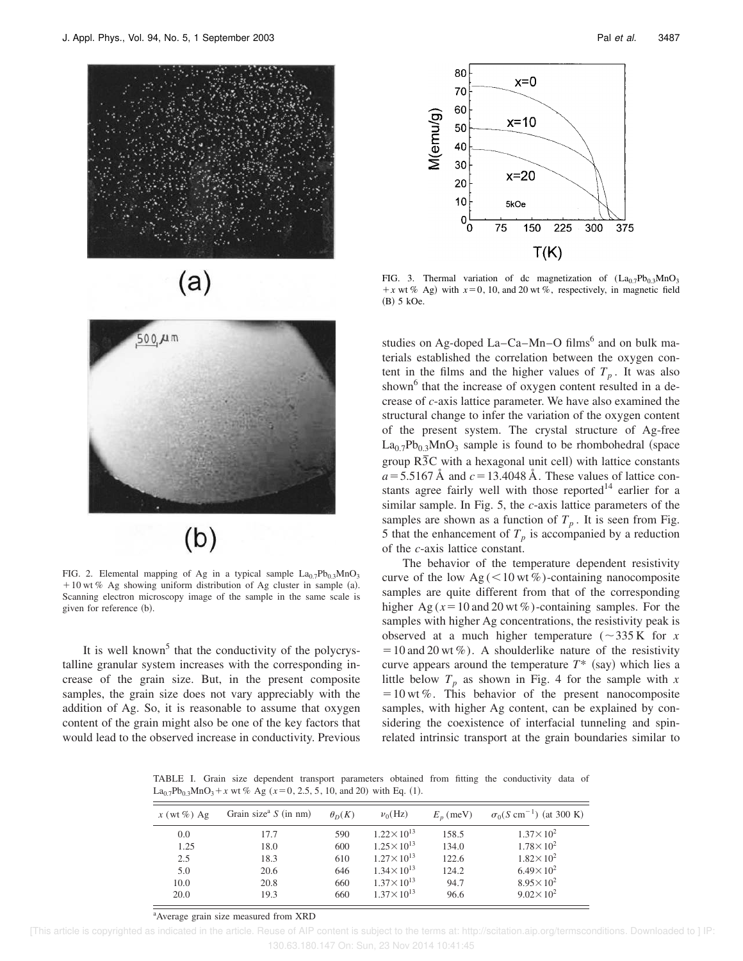





FIG. 2. Elemental mapping of Ag in a typical sample  $La_{0.7}Pb_{0.3}MnO_3$  $110$  wt % Ag showing uniform distribution of Ag cluster in sample (a). Scanning electron microscopy image of the sample in the same scale is given for reference (b).

It is well known<sup>5</sup> that the conductivity of the polycrystalline granular system increases with the corresponding increase of the grain size. But, in the present composite samples, the grain size does not vary appreciably with the addition of Ag. So, it is reasonable to assume that oxygen content of the grain might also be one of the key factors that would lead to the observed increase in conductivity. Previous



FIG. 3. Thermal variation of dc magnetization of  $(La_{0.7}Pb_{0.3}MnO_3)$  $+x$  wt % Ag) with  $x=0$ , 10, and 20 wt %, respectively, in magnetic field (B) 5 kOe.

studies on Ag-doped La-Ca-Mn-O films<sup>6</sup> and on bulk materials established the correlation between the oxygen content in the films and the higher values of  $T_p$ . It was also shown<sup>6</sup> that the increase of oxygen content resulted in a decrease of *c*-axis lattice parameter. We have also examined the structural change to infer the variation of the oxygen content of the present system. The crystal structure of Ag-free  $La_{0.7}Pb_{0.3}MnO_3$  sample is found to be rhombohedral (space group  $R\overline{3}C$  with a hexagonal unit cell) with lattice constants  $a = 5.5167$  Å and  $c = 13.4048$  Å. These values of lattice constants agree fairly well with those reported<sup>14</sup> earlier for a similar sample. In Fig. 5, the *c*-axis lattice parameters of the samples are shown as a function of  $T_p$ . It is seen from Fig. 5 that the enhancement of  $T_p$  is accompanied by a reduction of the *c*-axis lattice constant.

The behavior of the temperature dependent resistivity curve of the low  $Ag \left( \leq 10 \text{ wt } \% \right)$ -containing nanocomposite samples are quite different from that of the corresponding higher Ag ( $x = 10$  and 20 wt %)-containing samples. For the samples with higher Ag concentrations, the resistivity peak is observed at a much higher temperature ( $\sim$ 335 K for *x*  $=10$  and 20 wt %). A shoulderlike nature of the resistivity curve appears around the temperature  $T^*$  (say) which lies a little below  $T_p$  as shown in Fig. 4 for the sample with  $x$  $=10$  wt %. This behavior of the present nanocomposite samples, with higher Ag content, can be explained by considering the coexistence of interfacial tunneling and spinrelated intrinsic transport at the grain boundaries similar to

TABLE I. Grain size dependent transport parameters obtained from fitting the conductivity data of  $La_{0.7}Pb_{0.3}MnO_3 + x$  wt % Ag ( $x=0, 2.5, 5, 10,$  and 20) with Eq. (1).

| $x$ (wt %) Ag | Grain size <sup>a</sup> $S$ (in nm) | $\theta_D(K)$ | $v_0(Hz)$             | $E_n$ (meV) | $\sigma_0(S \text{ cm}^{-1})$ (at 300 K) |
|---------------|-------------------------------------|---------------|-----------------------|-------------|------------------------------------------|
| 0.0           | 17.7                                | 590           | $1.22 \times 10^{13}$ | 158.5       | $1.37 \times 10^{2}$                     |
| 1.25          | 18.0                                | 600           | $1.25 \times 10^{13}$ | 134.0       | $1.78 \times 10^{2}$                     |
| 2.5           | 18.3                                | 610           | $1.27 \times 10^{13}$ | 122.6       | $1.82 \times 10^{2}$                     |
| 5.0           | 20.6                                | 646           | $1.34 \times 10^{13}$ | 124.2       | $6.49 \times 10^{2}$                     |
| 10.0          | 20.8                                | 660           | $1.37 \times 10^{13}$ | 94.7        | $8.95 \times 10^{2}$                     |
| 20.0          | 19.3                                | 660           | $1.37 \times 10^{13}$ | 96.6        | $9.02 \times 10^{2}$                     |

<sup>a</sup>Average grain size measured from XRD

 <sup>[</sup>This article is copyrighted as indicated in the article. Reuse of AIP content is subject to the terms at: http://scitation.aip.org/termsconditions. Downloaded to ] IP: 130.63.180.147 On: Sun, 23 Nov 2014 10:41:45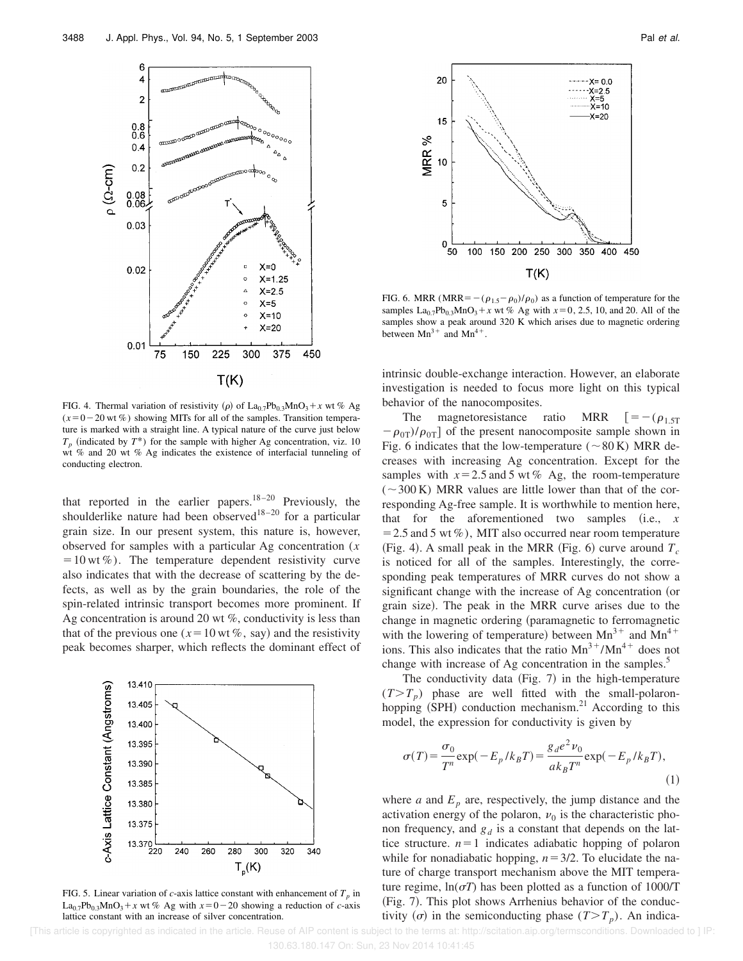

FIG. 4. Thermal variation of resistivity ( $\rho$ ) of La<sub>0.7</sub>Pb<sub>0.3</sub>MnO<sub>3</sub>+ x wt % Ag  $(x=0-20 \text{ wt } \%)$  showing MITs for all of the samples. Transition temperature is marked with a straight line. A typical nature of the curve just below  $T_p$  (indicated by  $T^*$ ) for the sample with higher Ag concentration, viz. 10 wt % and 20 wt % Ag indicates the existence of interfacial tunneling of conducting electron.

that reported in the earlier papers.<sup>18–20</sup> Previously, the shoulderlike nature had been observed<sup>18–20</sup> for a particular grain size. In our present system, this nature is, however, observed for samples with a particular Ag concentration (*x*  $=10$  wt %). The temperature dependent resistivity curve also indicates that with the decrease of scattering by the defects, as well as by the grain boundaries, the role of the spin-related intrinsic transport becomes more prominent. If Ag concentration is around 20 wt  $\%$ , conductivity is less than that of the previous one ( $x=10$  wt %, say) and the resistivity peak becomes sharper, which reflects the dominant effect of



FIG. 5. Linear variation of *c*-axis lattice constant with enhancement of  $T_p$  in  $La_{0.7}Pb_{0.3}MnO_3+x$  wt % Ag with  $x=0-20$  showing a reduction of *c*-axis lattice constant with an increase of silver concentration.



FIG. 6. MRR (MRR= $-(\rho_{1.5}-\rho_0)/\rho_0$ ) as a function of temperature for the samples  $La_{0.7}Pb_{0.3}MnO_3 + x$  wt % Ag with  $x=0, 2.5, 10,$  and 20. All of the samples show a peak around 320 K which arises due to magnetic ordering between  $Mn^{3+}$  and  $Mn^{4+}$ .

intrinsic double-exchange interaction. However, an elaborate investigation is needed to focus more light on this typical behavior of the nanocomposites.

The magnetoresistance ratio MRR  $[=-(\rho_{1.5T})$  $-\rho_{0T}/\rho_{0T}$  of the present nanocomposite sample shown in Fig. 6 indicates that the low-temperature ( $\sim$  80 K) MRR decreases with increasing Ag concentration. Except for the samples with  $x=2.5$  and 5 wt % Ag, the room-temperature  $(-300 \text{ K})$  MRR values are little lower than that of the corresponding Ag-free sample. It is worthwhile to mention here, that for the aforementioned two samples  $(i.e.,  $x$$  $=$  2.5 and 5 wt %), MIT also occurred near room temperature (Fig. 4). A small peak in the MRR (Fig. 6) curve around  $T_c$ is noticed for all of the samples. Interestingly, the corresponding peak temperatures of MRR curves do not show a significant change with the increase of Ag concentration (or grain size). The peak in the MRR curve arises due to the change in magnetic ordering (paramagnetic to ferromagnetic with the lowering of temperature) between  $Mn^{3+}$  and  $Mn^{4+}$ ions. This also indicates that the ratio  $Mn^{3+}/Mn^{4+}$  does not change with increase of Ag concentration in the samples.<sup>5</sup>

The conductivity data (Fig.  $7$ ) in the high-temperature  $(T>T_p)$  phase are well fitted with the small-polaronhopping  $(SPH)$  conduction mechanism.<sup>21</sup> According to this model, the expression for conductivity is given by

$$
\sigma(T) = \frac{\sigma_0}{T^n} \exp(-E_p / k_B T) = \frac{g_d e^2 \nu_0}{ak_B T^n} \exp(-E_p / k_B T),\tag{1}
$$

where *a* and  $E_p$  are, respectively, the jump distance and the activation energy of the polaron,  $v_0$  is the characteristic phonon frequency, and  $g_d$  is a constant that depends on the lattice structure.  $n=1$  indicates adiabatic hopping of polaron while for nonadiabatic hopping,  $n=3/2$ . To elucidate the nature of charge transport mechanism above the MIT temperature regime,  $ln(\sigma T)$  has been plotted as a function of 1000/T (Fig. 7). This plot shows Arrhenius behavior of the conductivity ( $\sigma$ ) in the semiconducting phase ( $T>T_p$ ). An indica-

 [This article is copyrighted as indicated in the article. Reuse of AIP content is subject to the terms at: http://scitation.aip.org/termsconditions. Downloaded to ] IP: 130.63.180.147 On: Sun, 23 Nov 2014 10:41:45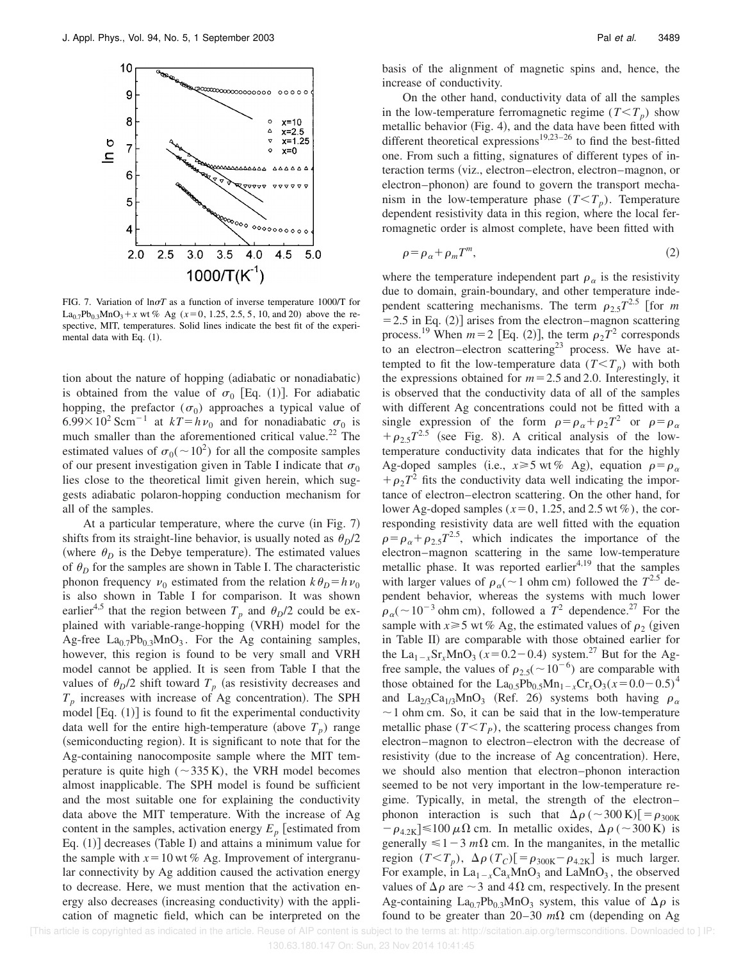

FIG. 7. Variation of  $ln \sigma T$  as a function of inverse temperature 1000/T for  $La_{0.7}Pb_{0.3}MnO_3 + x$  wt % Ag ( $x=0, 1.25, 2.5, 5, 10,$  and 20) above the respective, MIT, temperatures. Solid lines indicate the best fit of the experimental data with Eq.  $(1)$ .

tion about the nature of hopping (adiabatic or nonadiabatic) is obtained from the value of  $\sigma_0$  [Eq. (1)]. For adiabatic hopping, the prefactor  $(\sigma_0)$  approaches a typical value of  $6.99\times10^{2}$  Scm<sup>-1</sup> at  $kT=hv_{0}$  and for nonadiabatic  $\sigma_{0}$  is much smaller than the aforementioned critical value.<sup>22</sup> The estimated values of  $\sigma_0$ ( $\sim$ 10<sup>2</sup>) for all the composite samples of our present investigation given in Table I indicate that  $\sigma_0$ lies close to the theoretical limit given herein, which suggests adiabatic polaron-hopping conduction mechanism for all of the samples.

At a particular temperature, where the curve  $(in Fig. 7)$ shifts from its straight-line behavior, is usually noted as  $\theta_D/2$ (where  $\theta_D$  is the Debye temperature). The estimated values of  $\theta_D$  for the samples are shown in Table I. The characteristic phonon frequency  $v_0$  estimated from the relation  $k\theta_p = h v_0$ is also shown in Table I for comparison. It was shown earlier<sup>4,5</sup> that the region between  $T_p$  and  $\theta_p/2$  could be explained with variable-range-hopping (VRH) model for the Ag-free  $La_{0.7}Pb_{0.3}MnO_3$ . For the Ag containing samples, however, this region is found to be very small and VRH model cannot be applied. It is seen from Table I that the values of  $\theta_D/2$  shift toward  $T_p$  (as resistivity decreases and  $T_p$  increases with increase of Ag concentration). The SPH model  $[Eq. (1)]$  is found to fit the experimental conductivity data well for the entire high-temperature (above  $T_p$ ) range (semiconducting region). It is significant to note that for the Ag-containing nanocomposite sample where the MIT temperature is quite high ( $\sim$ 335 K), the VRH model becomes almost inapplicable. The SPH model is found be sufficient and the most suitable one for explaining the conductivity data above the MIT temperature. With the increase of Ag content in the samples, activation energy  $E_p$  [estimated from Eq.  $(1)$ ] decreases (Table I) and attains a minimum value for the sample with  $x=10$  wt % Ag. Improvement of intergranular connectivity by Ag addition caused the activation energy to decrease. Here, we must mention that the activation energy also decreases (increasing conductivity) with the application of magnetic field, which can be interpreted on the basis of the alignment of magnetic spins and, hence, the increase of conductivity.

On the other hand, conductivity data of all the samples in the low-temperature ferromagnetic regime  $(T < T_p)$  show metallic behavior (Fig. 4), and the data have been fitted with different theoretical expressions<sup>19,23–26</sup> to find the best-fitted one. From such a fitting, signatures of different types of interaction terms (viz., electron–electron, electron–magnon, or electron–phonon) are found to govern the transport mechanism in the low-temperature phase  $(T < T_p)$ . Temperature dependent resistivity data in this region, where the local ferromagnetic order is almost complete, have been fitted with

$$
\rho = \rho_{\alpha} + \rho_m T^m, \tag{2}
$$

where the temperature independent part  $\rho_{\alpha}$  is the resistivity due to domain, grain-boundary, and other temperature independent scattering mechanisms. The term  $\rho_{2.5}T^{2.5}$  [for *m*  $=$  2.5 in Eq. (2)] arises from the electron–magnon scattering process.<sup>19</sup> When  $m=2$  [Eq. (2)], the term  $\rho_2 T^2$  corresponds to an electron–electron scattering<sup>23</sup> process. We have attempted to fit the low-temperature data  $(T < T_p)$  with both the expressions obtained for  $m=2.5$  and 2.0. Interestingly, it is observed that the conductivity data of all of the samples with different Ag concentrations could not be fitted with a single expression of the form  $\rho = \rho_\alpha + \rho_2 T^2$  or  $\rho = \rho_\alpha$  $+\rho_{2.5}T^{2.5}$  (see Fig. 8). A critical analysis of the lowtemperature conductivity data indicates that for the highly Ag-doped samples (i.e.,  $x \ge 5$  wt % Ag), equation  $\rho = \rho_{\alpha}$  $+\rho_2 T^2$  fits the conductivity data well indicating the importance of electron–electron scattering. On the other hand, for lower Ag-doped samples ( $x=0, 1.25$ , and 2.5 wt %), the corresponding resistivity data are well fitted with the equation  $\rho = \rho_{\alpha} + \rho_{2.5} T^{2.5}$ , which indicates the importance of the electron–magnon scattering in the same low-temperature metallic phase. It was reported earlier<sup>4,19</sup> that the samples with larger values of  $\rho_{\alpha}$  (~1 ohm cm) followed the  $T^{2.5}$  dependent behavior, whereas the systems with much lower  $\rho_{\alpha}$ (~10<sup>-3</sup> ohm cm), followed a  $T^2$  dependence.<sup>27</sup> For the sample with  $x \ge 5$  wt % Ag, the estimated values of  $\rho_2$  (given in Table II) are comparable with those obtained earlier for the La<sub>1-x</sub>Sr<sub>x</sub>MnO<sub>3</sub> ( $x=0.2-0.4$ ) system.<sup>27</sup> But for the Agfree sample, the values of  $\rho_{2.5}(\sim 10^{-6})$  are comparable with those obtained for the  $\text{La}_{0.5}\text{Pb}_{0.5}\text{Mn}_{1-x}\text{Cr}_x\text{O}_3(x=0.0-0.5)^4$ and La<sub>2/3</sub>Ca<sub>1/3</sub>MnO<sub>3</sub> (Ref. 26) systems both having  $\rho_{\alpha}$  $\sim$  1 ohm cm. So, it can be said that in the low-temperature metallic phase  $(T \le T_p)$ , the scattering process changes from electron–magnon to electron–electron with the decrease of resistivity (due to the increase of Ag concentration). Here, we should also mention that electron–phonon interaction seemed to be not very important in the low-temperature regime. Typically, in metal, the strength of the electron– phonon interaction is such that  $\Delta \rho$  ( $\sim$ 300 K)[ $= \rho_{300K}$  $-\rho_{4.2K}$   $\leq$  100  $\mu\Omega$  cm. In metallic oxides,  $\Delta \rho$  (~300 K) is generally  $\leq 1-3$  *m* $\Omega$  cm. In the manganites, in the metallic region  $(T < T_p)$ ,  $\Delta \rho$   $(T_C)$ [ $= \rho_{300K} - \rho_{4.2K}$ ] is much larger. For example, in  $La_{1-x}Ca_xMnO_3$  and  $LaMnO_3$ , the observed values of  $\Delta \rho$  are  $\sim$  3 and 4 $\Omega$  cm, respectively. In the present Ag-containing La<sub>0.7</sub>Pb<sub>0.3</sub>MnO<sub>3</sub> system, this value of  $\Delta \rho$  is found to be greater than  $20-30$   $m\Omega$  cm (depending on Ag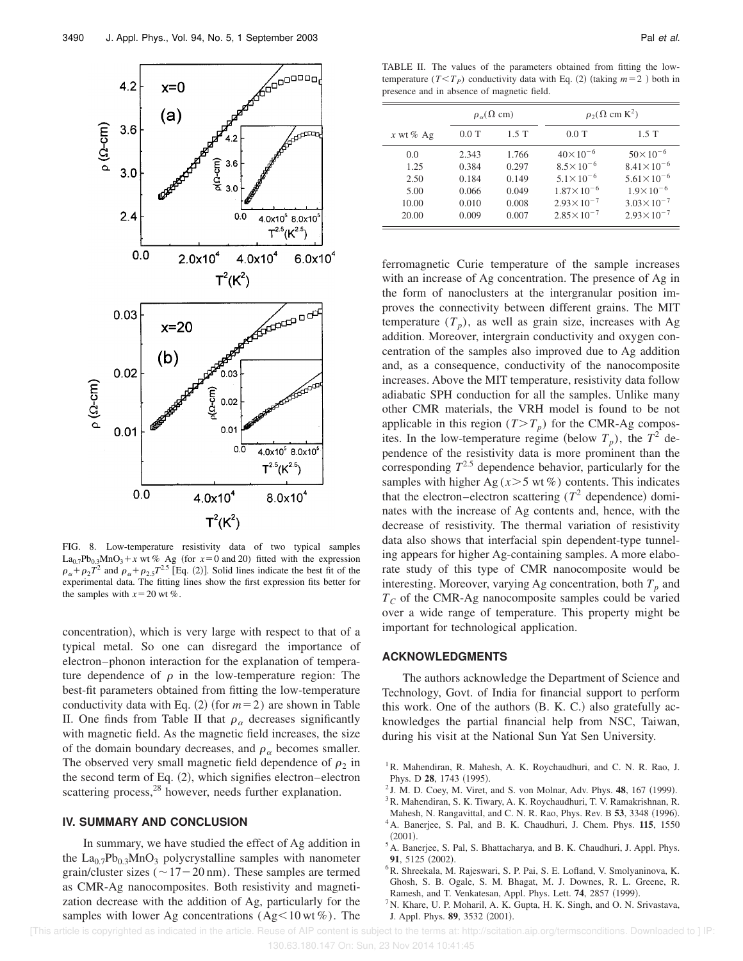

FIG. 8. Low-temperature resistivity data of two typical samples La<sub>0.7</sub>Pb<sub>0.3</sub>MnO<sub>3</sub>+x wt % Ag (for  $x=0$  and 20) fitted with the expression  $\rho_{\alpha} + \rho_2 T^2$  and  $\rho_{\alpha} + \rho_{2.5} T^{2.5}$  [Eq. (2)]. Solid lines indicate the best fit of the experimental data. The fitting lines show the first expression fits better for the samples with  $x=20$  wt %.

concentration), which is very large with respect to that of a typical metal. So one can disregard the importance of electron–phonon interaction for the explanation of temperature dependence of  $\rho$  in the low-temperature region: The best-fit parameters obtained from fitting the low-temperature conductivity data with Eq.  $(2)$  (for  $m=2$ ) are shown in Table II. One finds from Table II that  $\rho_{\alpha}$  decreases significantly with magnetic field. As the magnetic field increases, the size of the domain boundary decreases, and  $\rho_{\alpha}$  becomes smaller. The observed very small magnetic field dependence of  $\rho_2$  in the second term of Eq.  $(2)$ , which signifies electron–electron scattering process,<sup>28</sup> however, needs further explanation.

#### **IV. SUMMARY AND CONCLUSION**

In summary, we have studied the effect of Ag addition in the  $La_{0.7}Pb_{0.3}MnO_3$  polycrystalline samples with nanometer grain/cluster sizes ( $\sim$  17 – 20 nm). These samples are termed as CMR-Ag nanocomposites. Both resistivity and magnetization decrease with the addition of Ag, particularly for the samples with lower Ag concentrations (Ag $\leq$ 10 wt %). The

TABLE II. The values of the parameters obtained from fitting the lowtemperature  $(T < T_P)$  conductivity data with Eq. (2) (taking  $m = 2$ ) both in presence and in absence of magnetic field.

|             | $\rho_{\alpha}(\Omega \text{ cm})$ |         | $\rho_2(\Omega \text{ cm K}^2)$ |                       |  |
|-------------|------------------------------------|---------|---------------------------------|-----------------------|--|
| x wt % $Ag$ | $0.0$ T                            | $1.5$ T | $0.0$ T                         | 1.5T                  |  |
| 0.0         | 2.343                              | 1.766   | $40\times10^{-6}$               | $50 \times 10^{-6}$   |  |
| 1.25        | 0.384                              | 0.297   | $8.5 \times 10^{-6}$            | $8.41 \times 10^{-6}$ |  |
| 2.50        | 0.184                              | 0.149   | $5.1 \times 10^{-6}$            | $5.61 \times 10^{-6}$ |  |
| 5.00        | 0.066                              | 0.049   | $1.87 \times 10^{-6}$           | $1.9 \times 10^{-6}$  |  |
| 10.00       | 0.010                              | 0.008   | $2.93 \times 10^{-7}$           | $3.03 \times 10^{-7}$ |  |
| 20.00       | 0.009                              | 0.007   | $2.85 \times 10^{-7}$           | $2.93 \times 10^{-7}$ |  |

ferromagnetic Curie temperature of the sample increases with an increase of Ag concentration. The presence of Ag in the form of nanoclusters at the intergranular position improves the connectivity between different grains. The MIT temperature  $(T_p)$ , as well as grain size, increases with Ag addition. Moreover, intergrain conductivity and oxygen concentration of the samples also improved due to Ag addition and, as a consequence, conductivity of the nanocomposite increases. Above the MIT temperature, resistivity data follow adiabatic SPH conduction for all the samples. Unlike many other CMR materials, the VRH model is found to be not applicable in this region  $(T>T_p)$  for the CMR-Ag composites. In the low-temperature regime (below  $T_p$ ), the  $T^2$  dependence of the resistivity data is more prominent than the corresponding  $T^{2.5}$  dependence behavior, particularly for the samples with higher Ag  $(x>5 \text{ wt } \%)$  contents. This indicates that the electron–electron scattering  $(T^2$  dependence) dominates with the increase of Ag contents and, hence, with the decrease of resistivity. The thermal variation of resistivity data also shows that interfacial spin dependent-type tunneling appears for higher Ag-containing samples. A more elaborate study of this type of CMR nanocomposite would be interesting. Moreover, varying Ag concentration, both  $T_p$  and *T<sup>C</sup>* of the CMR-Ag nanocomposite samples could be varied over a wide range of temperature. This property might be important for technological application.

## **ACKNOWLEDGMENTS**

The authors acknowledge the Department of Science and Technology, Govt. of India for financial support to perform this work. One of the authors  $(B, K, C)$  also gratefully acknowledges the partial financial help from NSC, Taiwan, during his visit at the National Sun Yat Sen University.

- <sup>2</sup> J. M. D. Coey, M. Viret, and S. von Molnar, Adv. Phys. **48**, 167 (1999).
- <sup>3</sup> R. Mahendiran, S. K. Tiwary, A. K. Roychaudhuri, T. V. Ramakrishnan, R.
- Mahesh, N. Rangavittal, and C. N. R. Rao, Phys. Rev. B 53, 3348 (1996). <sup>4</sup>A. Banerjee, S. Pal, and B. K. Chaudhuri, J. Chem. Phys. **115**, 1550  $(2001).$
- <sup>5</sup>A. Banerjee, S. Pal, S. Bhattacharya, and B. K. Chaudhuri, J. Appl. Phys. 91, 5125 (2002).
- <sup>6</sup>R. Shreekala, M. Rajeswari, S. P. Pai, S. E. Lofland, V. Smolyaninova, K. Ghosh, S. B. Ogale, S. M. Bhagat, M. J. Downes, R. L. Greene, R. Ramesh, and T. Venkatesan, Appl. Phys. Lett. **74**, 2857 (1999).
- <sup>7</sup>N. Khare, U. P. Moharil, A. K. Gupta, H. K. Singh, and O. N. Srivastava, J. Appl. Phys. **89**, 3532 (2001).

<sup>&</sup>lt;sup>1</sup>R. Mahendiran, R. Mahesh, A. K. Roychaudhuri, and C. N. R. Rao, J. Phys. D 28, 1743 (1995).